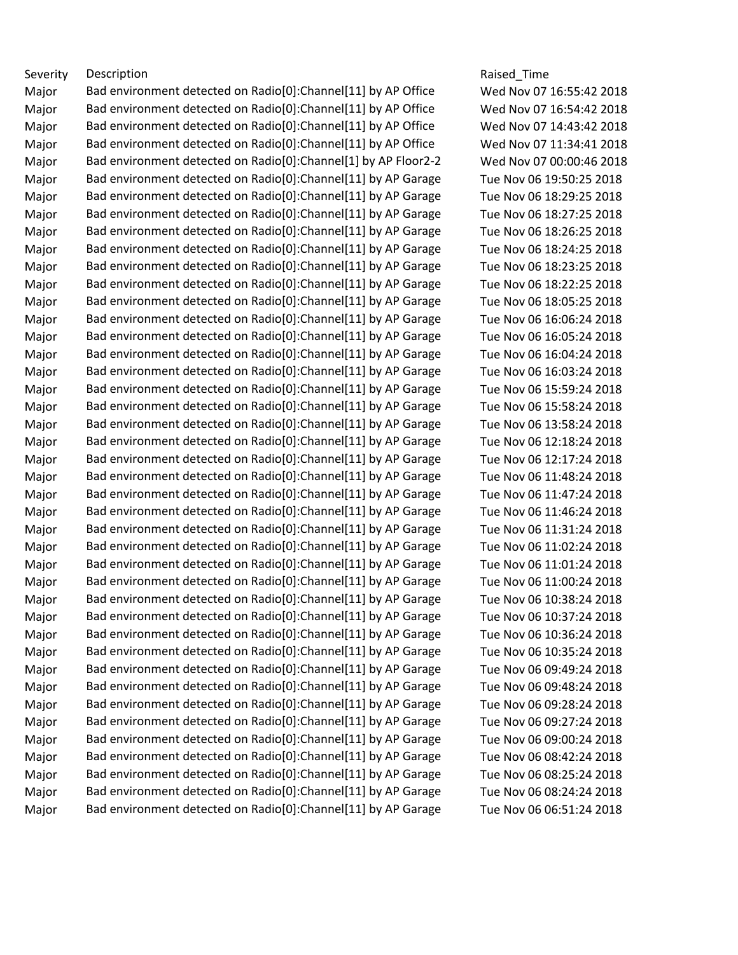Severity Description **Severity** Description **Raised** Time Major Bad environment detected on Radio[0]:Channel[11] by AP Office Wed Nov 07 16:55:42 2018 Major Bad environment detected on Radio[0]:Channel[11] by AP Office Wed Nov 07 16:54:42 2018 Major Bad environment detected on Radio[0]:Channel[11] by AP Office Wed Nov 07 14:43:42 2018 Major Bad environment detected on Radio[0]:Channel[11] by AP Office Wed Nov 07 11:34:41 2018 Major Bad environment detected on Radio[0]:Channel[1] by AP Floor2-2 Wed Nov 07 00:00:46 2018 Major Bad environment detected on Radio[0]:Channel[11] by AP Garage Tue Nov 06 19:50:25 2018 Major Bad environment detected on Radio[0]: Channel [11] by AP Garage Tue Nov 06 18:29:25 2018 Major Bad environment detected on Radio[0]: Channel [11] by AP Garage Tue Nov 06 18:27:25 2018 Major Bad environment detected on Radio[0]:Channel[11] by AP Garage Tue Nov 06 18:26:25 2018 Major Bad environment detected on Radio[0]: Channel [11] by AP Garage Tue Nov 06 18:24:25 2018 Major Bad environment detected on Radio[0]: Channel [11] by AP Garage Tue Nov 06 18:23:25 2018 Major Bad environment detected on Radio[0]:Channel[11] by AP Garage Tue Nov 06 18:22:25 2018 Major Bad environment detected on Radio[0]: Channel [11] by AP Garage Tue Nov 06 18:05:25 2018 Major Bad environment detected on Radio[0]:Channel[11] by AP Garage Tue Nov 06 16:06:24 2018 Major Bad environment detected on Radio[0]: Channel [11] by AP Garage Tue Nov 06 16:05:24 2018 Major Bad environment detected on Radio[0]: Channel [11] by AP Garage Tue Nov 06 16:04:24 2018 Major Bad environment detected on Radio[0]:Channel[11] by AP Garage Tue Nov 06 16:03:24 2018 Major Bad environment detected on Radio[0]: Channel [11] by AP Garage Tue Nov 06 15:59:24 2018 Major Bad environment detected on Radio[0]: Channel [11] by AP Garage Tue Nov 06 15:58:24 2018 Major Bad environment detected on Radio[0]:Channel[11] by AP Garage Tue Nov 06 13:58:24 2018 Major Bad environment detected on Radio[0]:Channel[11] by AP Garage Tue Nov 06 12:18:24 2018 Major Bad environment detected on Radio[0]: Channel [11] by AP Garage Tue Nov 06 12:17:24 2018 Major Bad environment detected on Radio[0]:Channel[11] by AP Garage Tue Nov 06 11:48:24 2018 Major Bad environment detected on Radio[0]:Channel[11] by AP Garage Tue Nov 06 11:47:24 2018 Major Bad environment detected on Radio[0]: Channel [11] by AP Garage Tue Nov 06 11:46:24 2018 Major Bad environment detected on Radio[0]: Channel [11] by AP Garage Tue Nov 06 11:31:24 2018 Major Bad environment detected on Radio[0]:Channel[11] by AP Garage Tue Nov 06 11:02:24 2018 Major Bad environment detected on Radio[0]: Channel [11] by AP Garage Tue Nov 06 11:01:24 2018 Major Bad environment detected on Radio[0]:Channel[11] by AP Garage Tue Nov 06 11:00:24 2018 Major Bad environment detected on Radio[0]: Channel [11] by AP Garage Tue Nov 06 10:38:24 2018 Major Bad environment detected on Radio[0]:Channel[11] by AP Garage Tue Nov 06 10:37:24 2018 Major Bad environment detected on Radio[0]:Channel[11] by AP Garage Tue Nov 06 10:36:24 2018 Major Bad environment detected on Radio[0]:Channel[11] by AP Garage Tue Nov 06 10:35:24 2018 Major Bad environment detected on Radio[0]:Channel[11] by AP Garage Tue Nov 06 09:49:24 2018 Major Bad environment detected on Radio[0]:Channel[11] by AP Garage Tue Nov 06 09:48:24 2018 Major Bad environment detected on Radio[0]: Channel [11] by AP Garage Tue Nov 06 09:28:24 2018 Major Bad environment detected on Radio[0]:Channel[11] by AP Garage Tue Nov 06 09:27:24 2018 Major Bad environment detected on Radio[0]:Channel[11] by AP Garage Tue Nov 06 09:00:24 2018 Major Bad environment detected on Radio[0]: Channel [11] by AP Garage Tue Nov 06 08:42:24 2018 Major Bad environment detected on Radio[0]:Channel[11] by AP Garage Tue Nov 06 08:25:24 2018 Major Bad environment detected on Radio[0]: Channel [11] by AP Garage Tue Nov 06 08:24:24 2018 Major Bad environment detected on Radio[0]:Channel[11] by AP Garage Tue Nov 06 06:51:24 2018